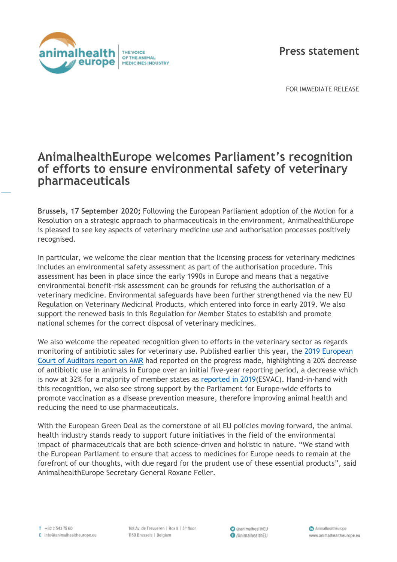

**Press statement**

FOR IMMEDIATE RELEASE

## **AnimalhealthEurope welcomes Parliament's recognition of efforts to ensure environmental safety of veterinary pharmaceuticals**

**Brussels, 17 September 2020;** Following the European Parliament adoption of the Motion for a Resolution on a strategic approach to pharmaceuticals in the environment, AnimalhealthEurope is pleased to see key aspects of veterinary medicine use and authorisation processes positively recognised.

In particular, we welcome the clear mention that the licensing process for veterinary medicines includes an environmental safety assessment as part of the authorisation procedure. This assessment has been in place since the early 1990s in Europe and means that a negative environmental benefit-risk assessment can be grounds for refusing the authorisation of a veterinary medicine. Environmental safeguards have been further strengthened via the new EU Regulation on Veterinary Medicinal Products, which entered into force in early 2019. We also support the renewed basis in this Regulation for Member States to establish and promote national schemes for the correct disposal of veterinary medicines.

We also welcome the repeated recognition given to efforts in the veterinary sector as regards monitoring of antibiotic sales for veterinary use. Published earlier this year, the [2019 European](https://www.eca.europa.eu/Lists/ECADocuments/SR19_21/SR_Antimicrobial_resistance_EN.pdf)  [Court of Auditors report on AMR](https://www.eca.europa.eu/Lists/ECADocuments/SR19_21/SR_Antimicrobial_resistance_EN.pdf) had reported on the progress made, highlighting a 20% decrease of antibiotic use in animals in Europe over an initial five-year reporting period, a decrease which is now at 32% for a majority of member states as [reported in 2019\(](https://www.ema.europa.eu/en/veterinary-regulatory/overview/antimicrobial-resistance/european-surveillance-veterinary-antimicrobial-consumption-esvac)ESVAC). Hand-in-hand with this recognition, we also see strong support by the Parliament for Europe-wide efforts to promote vaccination as a disease prevention measure, therefore improving animal health and reducing the need to use pharmaceuticals.

With the European Green Deal as the cornerstone of all EU policies moving forward, the animal health industry stands ready to support future initiatives in the field of the environmental impact of pharmaceuticals that are both science-driven and holistic in nature. "We stand with the European Parliament to ensure that access to medicines for Europe needs to remain at the forefront of our thoughts, with due regard for the prudent use of these essential products", said AnimalhealthEurope Secretary General Roxane Feller.